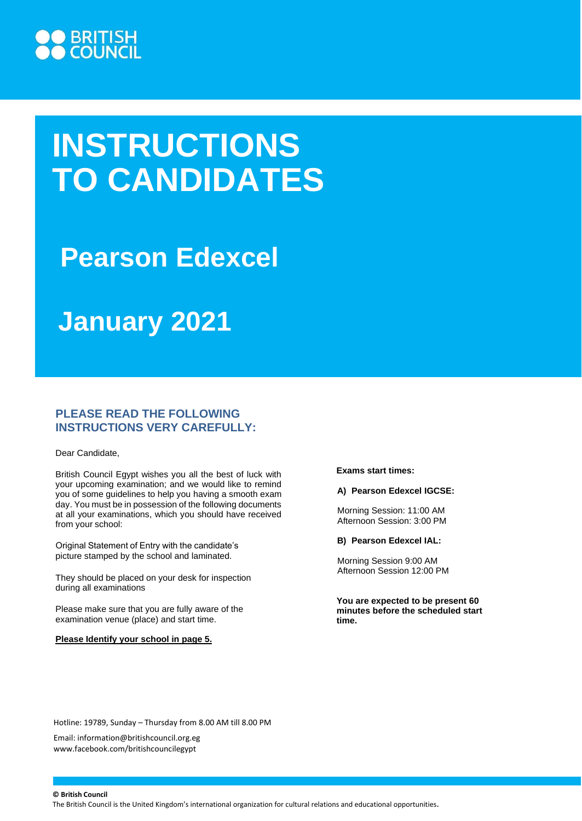

# **INSTRUCTIONS TO CANDIDATES**

## **Pearson Edexcel**

## **January 2021**

## **PLEASE READ THE FOLLOWING INSTRUCTIONS VERY CAREFULLY:**

Dear Candidate,

British Council Egypt wishes you all the best of luck with your upcoming examination; and we would like to remind you of some guidelines to help you having a smooth exam day. You must be in possession of the following documents at all your examinations, which you should have received from your school:

Original Statement of Entry with the candidate's picture stamped by the school and laminated.

They should be placed on your desk for inspection during all examinations

Please make sure that you are fully aware of the examination venue (place) and start time.

#### **Please Identify your school in page 5.**

**Exams start times:**

#### **A) Pearson Edexcel IGCSE:**

Morning Session: 11:00 AM Afternoon Session: 3:00 PM

**B) Pearson Edexcel IAL:**

Morning Session 9:00 AM Afternoon Session 12:00 PM

**You are expected to be present 60 minutes before the scheduled start time.**

Hotline: 19789, Sunday – Thursday from 8.00 AM till 8.00 PM

Email[: information@britishcouncil.org.eg](mailto:information@britishcouncil.org.eg) [www.facebook.com/britishcouncilegypt](http://www.facebook.com/britishcouncilegypt)

**© British Council**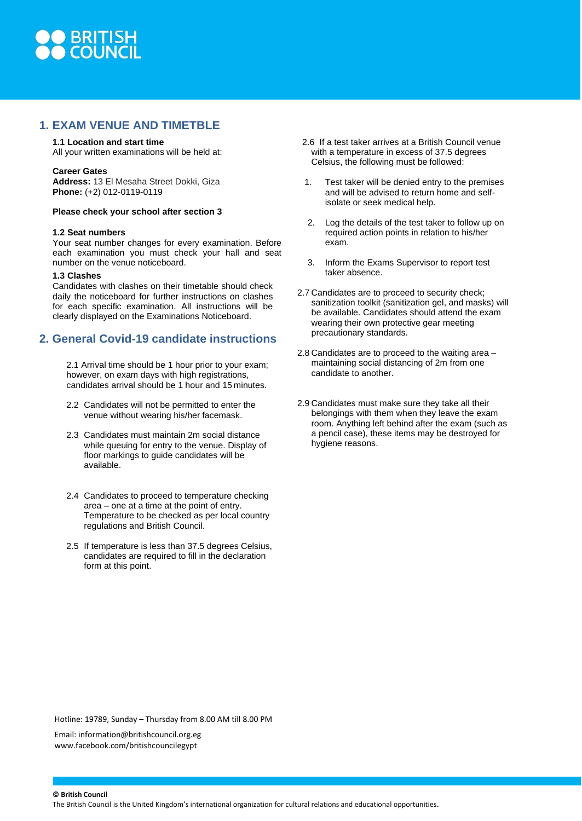

### **1. EXAM VENUE AND TIMETBLE**

#### **1.1 Location and start time**

All your written examinations will be held at:

#### **Career Gates**

**Address:** 13 El Mesaha Street Dokki, Giza **Phone:** (+2) 012-0119-0119

#### **Please check your school after section 3**

#### **1.2 Seat numbers**

Your seat number changes for every examination. Before each examination you must check your hall and seat number on the venue noticeboard.

#### **1.3 Clashes**

Candidates with clashes on their timetable should check daily the noticeboard for further instructions on clashes for each specific examination. All instructions will be clearly displayed on the Examinations Noticeboard.

### **2. General Covid-19 candidate instructions**

2.1 Arrival time should be 1 hour prior to your exam; however, on exam days with high registrations. candidates arrival should be 1 hour and 15 minutes.

- 2.2 Candidates will not be permitted to enter the venue without wearing his/her facemask.
- 2.3 Candidates must maintain 2m social distance while queuing for entry to the venue. Display of floor markings to guide candidates will be available.
- 2.4 Candidates to proceed to temperature checking area – one at a time at the point of entry. Temperature to be checked as per local country regulations and British Council.
- 2.5 If temperature is less than 37.5 degrees Celsius, candidates are required to fill in the declaration form at this point.
- 2.6 If a test taker arrives at a British Council venue with a temperature in excess of 37.5 degrees Celsius, the following must be followed:
- 1. Test taker will be denied entry to the premises and will be advised to return home and selfisolate or seek medical help.
- 2. Log the details of the test taker to follow up on required action points in relation to his/her exam.
- 3. Inform the Exams Supervisor to report test taker absence.
- 2.7 Candidates are to proceed to security check; sanitization toolkit (sanitization gel, and masks) will be available. Candidates should attend the exam wearing their own protective gear meeting precautionary standards.
- 2.8 Candidates are to proceed to the waiting area maintaining social distancing of 2m from one candidate to another.
- 2.9 Candidates must make sure they take all their belongings with them when they leave the exam room. Anything left behind after the exam (such as a pencil case), these items may be destroyed for hygiene reasons.

Hotline: 19789, Sunday – Thursday from 8.00 AM till 8.00 PM

Email[: information@britishcouncil.org.eg](mailto:information@britishcouncil.org.eg) [www.facebook.com/britishcouncilegypt](http://www.facebook.com/britishcouncilegypt)

**© British Council**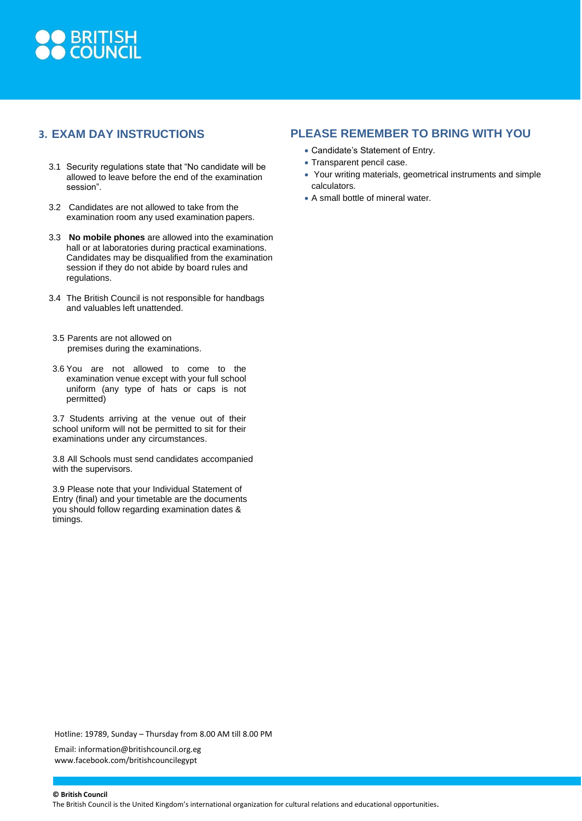

## **3. EXAM DAY INSTRUCTIONS**

- 3.1 Security regulations state that "No candidate will be allowed to leave before the end of the examination session".
- 3.2 Candidates are not allowed to take from the examination room any used examination papers.
- 3.3 **No mobile phones** are allowed into the examination hall or at laboratories during practical examinations. Candidates may be disqualified from the examination session if they do not abide by board rules and regulations.
- 3.4 The British Council is not responsible for handbags and valuables left unattended.
- 3.5 Parents are not allowed on premises during the examinations.
- 3.6 You are not allowed to come to the examination venue except with your full school uniform (any type of hats or caps is not permitted)

3.7 Students arriving at the venue out of their school uniform will not be permitted to sit for their examinations under any circumstances.

3.8 All Schools must send candidates accompanied with the supervisors.

3.9 Please note that your Individual Statement of Entry (final) and your timetable are the documents you should follow regarding examination dates & timings.

## **PLEASE REMEMBER TO BRING WITH YOU**

- Candidate's Statement of Entry.
- Transparent pencil case.
- Your writing materials, geometrical instruments and simple calculators.
- A small bottle of mineral water.

Hotline: 19789, Sunday – Thursday from 8.00 AM till 8.00 PM

Email[: information@britishcouncil.org.eg](mailto:information@britishcouncil.org.eg) [www.facebook.com/britishcouncilegypt](http://www.facebook.com/britishcouncilegypt)

**© British Council**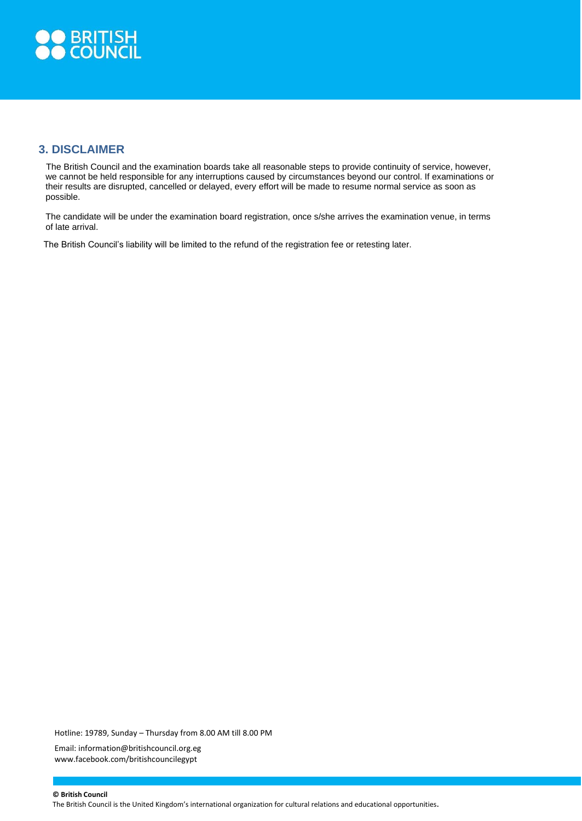

## **3. DISCLAIMER**

The British Council and the examination boards take all reasonable steps to provide continuity of service, however, we cannot be held responsible for any interruptions caused by circumstances beyond our control. If examinations or their results are disrupted, cancelled or delayed, every effort will be made to resume normal service as soon as possible.

The candidate will be under the examination board registration, once s/she arrives the examination venue, in terms of late arrival.

The British Council's liability will be limited to the refund of the registration fee or retesting later.

Hotline: 19789, Sunday – Thursday from 8.00 AM till 8.00 PM Email[: information@britishcouncil.org.eg](mailto:information@britishcouncil.org.eg) [www.facebook.com/britishcouncilegypt](http://www.facebook.com/britishcouncilegypt)

**© British Council**